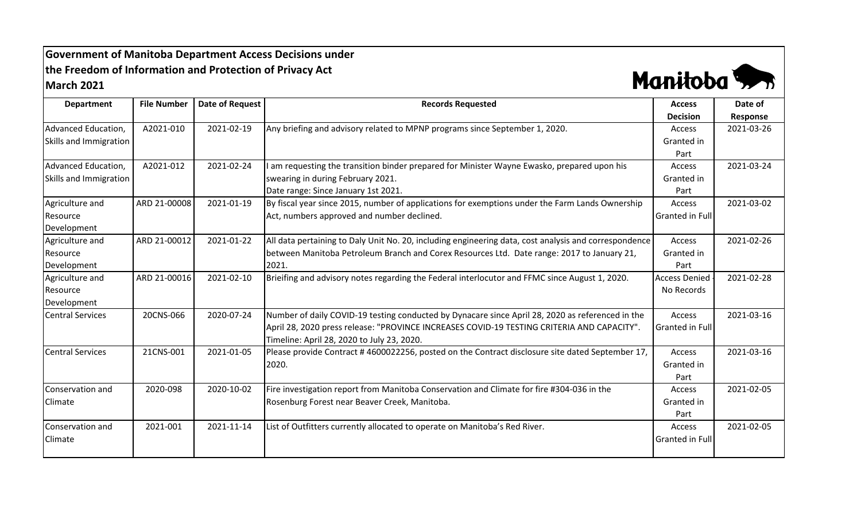## **Government of Manitoba Department Access Decisions under the Freedom of Information and Protection of Privacy Act March 2021**



| <b>Department</b>       | <b>File Number</b> | <b>Date of Request</b> | <b>Records Requested</b>                                                                              | <b>Access</b>          | Date of    |
|-------------------------|--------------------|------------------------|-------------------------------------------------------------------------------------------------------|------------------------|------------|
|                         |                    |                        |                                                                                                       | <b>Decision</b>        | Response   |
| Advanced Education,     | A2021-010          | 2021-02-19             | Any briefing and advisory related to MPNP programs since September 1, 2020.                           | Access                 | 2021-03-26 |
| Skills and Immigration  |                    |                        |                                                                                                       | Granted in             |            |
|                         |                    |                        |                                                                                                       | Part                   |            |
| Advanced Education,     | A2021-012          | 2021-02-24             | am requesting the transition binder prepared for Minister Wayne Ewasko, prepared upon his             | Access                 | 2021-03-24 |
| Skills and Immigration  |                    |                        | swearing in during February 2021.                                                                     | Granted in             |            |
|                         |                    |                        | Date range: Since January 1st 2021.                                                                   | Part                   |            |
| Agriculture and         | ARD 21-00008       | 2021-01-19             | By fiscal year since 2015, number of applications for exemptions under the Farm Lands Ownership       | <b>Access</b>          | 2021-03-02 |
| Resource                |                    |                        | Act, numbers approved and number declined.                                                            | <b>Granted in Full</b> |            |
| Development             |                    |                        |                                                                                                       |                        |            |
| Agriculture and         | ARD 21-00012       | 2021-01-22             | All data pertaining to Daly Unit No. 20, including engineering data, cost analysis and correspondence | Access                 | 2021-02-26 |
| Resource                |                    |                        | between Manitoba Petroleum Branch and Corex Resources Ltd. Date range: 2017 to January 21,            | Granted in             |            |
| Development             |                    |                        | 2021.                                                                                                 | Part                   |            |
| Agriculture and         | ARD 21-00016       | 2021-02-10             | Brieifing and advisory notes regarding the Federal interlocutor and FFMC since August 1, 2020.        | <b>Access Denied</b>   | 2021-02-28 |
| Resource                |                    |                        |                                                                                                       | No Records             |            |
| Development             |                    |                        |                                                                                                       |                        |            |
| <b>Central Services</b> | 20CNS-066          | 2020-07-24             | Number of daily COVID-19 testing conducted by Dynacare since April 28, 2020 as referenced in the      | Access                 | 2021-03-16 |
|                         |                    |                        | April 28, 2020 press release: "PROVINCE INCREASES COVID-19 TESTING CRITERIA AND CAPACITY".            | Granted in Full        |            |
|                         |                    |                        | Timeline: April 28, 2020 to July 23, 2020.                                                            |                        |            |
| <b>Central Services</b> | 21CNS-001          | 2021-01-05             | Please provide Contract #4600022256, posted on the Contract disclosure site dated September 17,       | Access                 | 2021-03-16 |
|                         |                    |                        | 2020.                                                                                                 | Granted in             |            |
|                         |                    |                        |                                                                                                       | Part                   |            |
| Conservation and        | 2020-098           | 2020-10-02             | Fire investigation report from Manitoba Conservation and Climate for fire #304-036 in the             | Access                 | 2021-02-05 |
| Climate                 |                    |                        | Rosenburg Forest near Beaver Creek, Manitoba.                                                         | Granted in             |            |
|                         |                    |                        |                                                                                                       | Part                   |            |
| Conservation and        | 2021-001           | 2021-11-14             | List of Outfitters currently allocated to operate on Manitoba's Red River.                            | Access                 | 2021-02-05 |
| <b>Climate</b>          |                    |                        |                                                                                                       | Granted in Full        |            |
|                         |                    |                        |                                                                                                       |                        |            |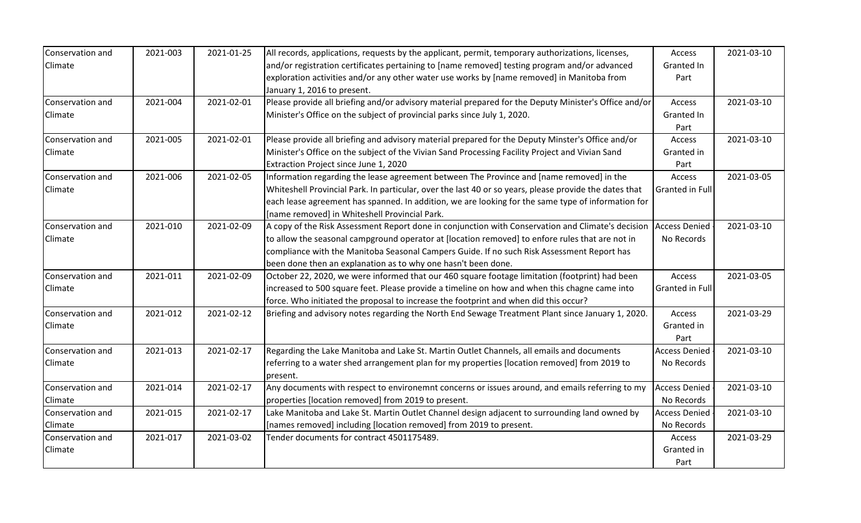| Conservation and | 2021-003 | 2021-01-25 | All records, applications, requests by the applicant, permit, temporary authorizations, licenses,      | Access               | 2021-03-10 |
|------------------|----------|------------|--------------------------------------------------------------------------------------------------------|----------------------|------------|
| Climate          |          |            | and/or registration certificates pertaining to [name removed] testing program and/or advanced          | Granted In           |            |
|                  |          |            | exploration activities and/or any other water use works by [name removed] in Manitoba from             | Part                 |            |
|                  |          |            | January 1, 2016 to present.                                                                            |                      |            |
| Conservation and | 2021-004 | 2021-02-01 | Please provide all briefing and/or advisory material prepared for the Deputy Minister's Office and/or  | Access               | 2021-03-10 |
| Climate          |          |            | Minister's Office on the subject of provincial parks since July 1, 2020.                               | Granted In           |            |
|                  |          |            |                                                                                                        | Part                 |            |
| Conservation and | 2021-005 | 2021-02-01 | Please provide all briefing and advisory material prepared for the Deputy Minster's Office and/or      | Access               | 2021-03-10 |
| Climate          |          |            | Minister's Office on the subject of the Vivian Sand Processing Facility Project and Vivian Sand        | Granted in           |            |
|                  |          |            | Extraction Project since June 1, 2020                                                                  | Part                 |            |
| Conservation and | 2021-006 | 2021-02-05 | Information regarding the lease agreement between The Province and [name removed] in the               | <b>Access</b>        | 2021-03-05 |
| Climate          |          |            | Whiteshell Provincial Park. In particular, over the last 40 or so years, please provide the dates that | Granted in Full      |            |
|                  |          |            | each lease agreement has spanned. In addition, we are looking for the same type of information for     |                      |            |
|                  |          |            | [name removed] in Whiteshell Provincial Park.                                                          |                      |            |
| Conservation and | 2021-010 | 2021-02-09 | A copy of the Risk Assessment Report done in conjunction with Conservation and Climate's decision      | <b>Access Denied</b> | 2021-03-10 |
| Climate          |          |            | to allow the seasonal campground operator at [location removed] to enfore rules that are not in        | No Records           |            |
|                  |          |            | compliance with the Manitoba Seasonal Campers Guide. If no such Risk Assessment Report has             |                      |            |
|                  |          |            | been done then an explanation as to why one hasn't been done.                                          |                      |            |
| Conservation and | 2021-011 | 2021-02-09 | October 22, 2020, we were informed that our 460 square footage limitation (footprint) had been         | Access               | 2021-03-05 |
| Climate          |          |            | increased to 500 square feet. Please provide a timeline on how and when this chagne came into          | Granted in Full      |            |
|                  |          |            | force. Who initiated the proposal to increase the footprint and when did this occur?                   |                      |            |
| Conservation and | 2021-012 | 2021-02-12 | Briefing and advisory notes regarding the North End Sewage Treatment Plant since January 1, 2020.      | Access               | 2021-03-29 |
| Climate          |          |            |                                                                                                        | Granted in           |            |
|                  |          |            |                                                                                                        | Part                 |            |
| Conservation and | 2021-013 | 2021-02-17 | Regarding the Lake Manitoba and Lake St. Martin Outlet Channels, all emails and documents              | <b>Access Denied</b> | 2021-03-10 |
| Climate          |          |            | referring to a water shed arrangement plan for my properties [location removed] from 2019 to           | No Records           |            |
|                  |          |            | present.                                                                                               |                      |            |
| Conservation and | 2021-014 | 2021-02-17 | Any documents with respect to environemnt concerns or issues around, and emails referring to my        | <b>Access Denied</b> | 2021-03-10 |
| Climate          |          |            | properties [location removed] from 2019 to present.                                                    | No Records           |            |
| Conservation and | 2021-015 | 2021-02-17 | Lake Manitoba and Lake St. Martin Outlet Channel design adjacent to surrounding land owned by          | <b>Access Denied</b> | 2021-03-10 |
| Climate          |          |            | [names removed] including [location removed] from 2019 to present.                                     | No Records           |            |
| Conservation and | 2021-017 | 2021-03-02 | Tender documents for contract 4501175489.                                                              | Access               | 2021-03-29 |
| Climate          |          |            |                                                                                                        | Granted in           |            |
|                  |          |            |                                                                                                        | Part                 |            |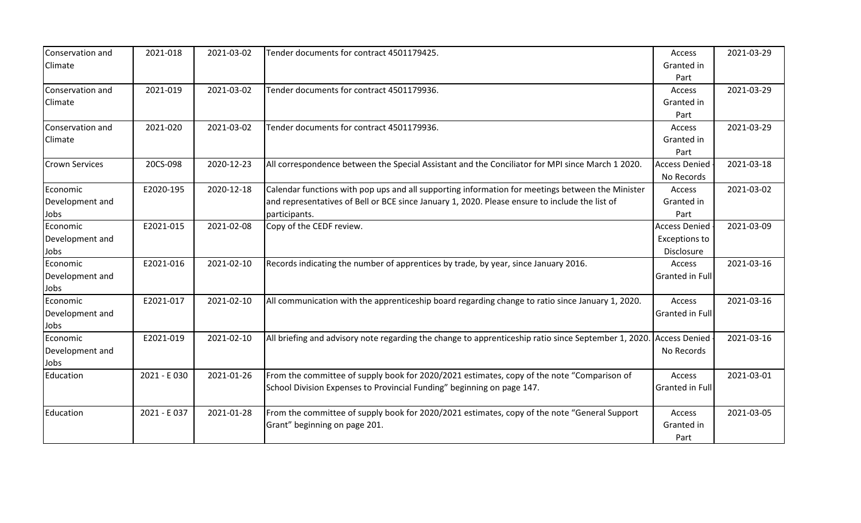| Conservation and      | 2021-018    | 2021-03-02 | Tender documents for contract 4501179425.                                                            | Access               | 2021-03-29 |
|-----------------------|-------------|------------|------------------------------------------------------------------------------------------------------|----------------------|------------|
| Climate               |             |            |                                                                                                      | Granted in           |            |
|                       |             |            |                                                                                                      | Part                 |            |
| Conservation and      | 2021-019    | 2021-03-02 | Tender documents for contract 4501179936.                                                            | Access               | 2021-03-29 |
| Climate               |             |            |                                                                                                      | Granted in           |            |
|                       |             |            |                                                                                                      | Part                 |            |
| Conservation and      | 2021-020    | 2021-03-02 | Tender documents for contract 4501179936.                                                            | Access               | 2021-03-29 |
| Climate               |             |            |                                                                                                      | Granted in           |            |
|                       |             |            |                                                                                                      | Part                 |            |
| <b>Crown Services</b> | 20CS-098    | 2020-12-23 | All correspondence between the Special Assistant and the Conciliator for MPI since March 1 2020.     | <b>Access Denied</b> | 2021-03-18 |
|                       |             |            |                                                                                                      | No Records           |            |
| Economic              | E2020-195   | 2020-12-18 | Calendar functions with pop ups and all supporting information for meetings between the Minister     | Access               | 2021-03-02 |
| Development and       |             |            | and representatives of Bell or BCE since January 1, 2020. Please ensure to include the list of       | Granted in           |            |
| Jobs                  |             |            | participants.                                                                                        | Part                 |            |
| Economic              | E2021-015   | 2021-02-08 | Copy of the CEDF review.                                                                             | <b>Access Denied</b> | 2021-03-09 |
| Development and       |             |            |                                                                                                      | <b>Exceptions to</b> |            |
| Jobs                  |             |            |                                                                                                      | Disclosure           |            |
| Economic              | E2021-016   | 2021-02-10 | Records indicating the number of apprentices by trade, by year, since January 2016.                  | Access               | 2021-03-16 |
| Development and       |             |            |                                                                                                      | Granted in Full      |            |
| Jobs                  |             |            |                                                                                                      |                      |            |
| Economic              | E2021-017   | 2021-02-10 | All communication with the apprenticeship board regarding change to ratio since January 1, 2020.     | Access               | 2021-03-16 |
| Development and       |             |            |                                                                                                      | Granted in Full      |            |
| Jobs                  |             |            |                                                                                                      |                      |            |
| Economic              | E2021-019   | 2021-02-10 | All briefing and advisory note regarding the change to apprenticeship ratio since September 1, 2020. | <b>Access Denied</b> | 2021-03-16 |
| Development and       |             |            |                                                                                                      | No Records           |            |
| Jobs                  |             |            |                                                                                                      |                      |            |
| Education             | 2021 - E030 | 2021-01-26 | From the committee of supply book for 2020/2021 estimates, copy of the note "Comparison of           | Access               | 2021-03-01 |
|                       |             |            | School Division Expenses to Provincial Funding" beginning on page 147.                               | Granted in Full      |            |
|                       |             |            |                                                                                                      |                      |            |
| Education             | 2021 - E037 | 2021-01-28 | From the committee of supply book for 2020/2021 estimates, copy of the note "General Support         | Access               | 2021-03-05 |
|                       |             |            | Grant" beginning on page 201.                                                                        | Granted in           |            |
|                       |             |            |                                                                                                      | Part                 |            |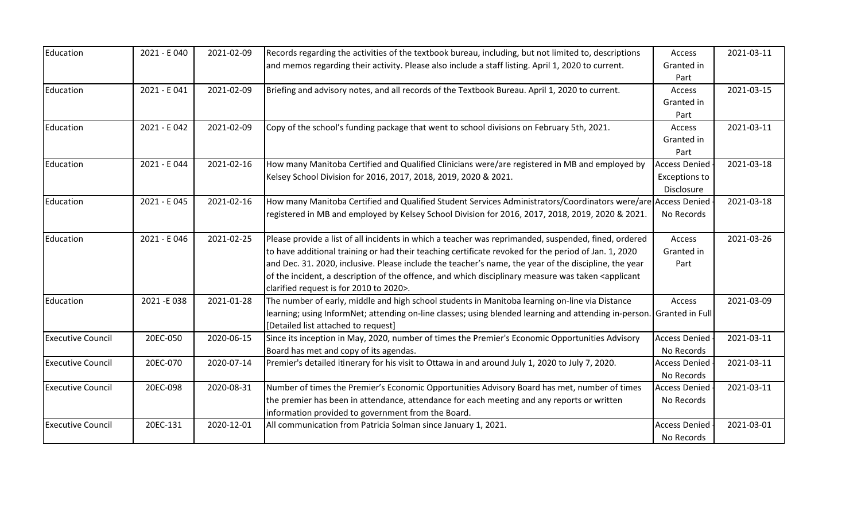| Education                | 2021 - E 040 | 2021-02-09 | Records regarding the activities of the textbook bureau, including, but not limited to, descriptions                                                         | Access               | 2021-03-11 |
|--------------------------|--------------|------------|--------------------------------------------------------------------------------------------------------------------------------------------------------------|----------------------|------------|
|                          |              |            | and memos regarding their activity. Please also include a staff listing. April 1, 2020 to current.                                                           | Granted in           |            |
|                          |              |            |                                                                                                                                                              | Part                 |            |
| Education                | 2021 - E041  | 2021-02-09 | Briefing and advisory notes, and all records of the Textbook Bureau. April 1, 2020 to current.                                                               | Access               | 2021-03-15 |
|                          |              |            |                                                                                                                                                              | Granted in           |            |
|                          |              |            |                                                                                                                                                              | Part                 |            |
| Education                | 2021 - E 042 | 2021-02-09 | Copy of the school's funding package that went to school divisions on February 5th, 2021.                                                                    | Access               | 2021-03-11 |
|                          |              |            |                                                                                                                                                              | Granted in           |            |
|                          |              |            |                                                                                                                                                              | Part                 |            |
| Education                | 2021 - E 044 | 2021-02-16 | How many Manitoba Certified and Qualified Clinicians were/are registered in MB and employed by                                                               | <b>Access Denied</b> | 2021-03-18 |
|                          |              |            | Kelsey School Division for 2016, 2017, 2018, 2019, 2020 & 2021.                                                                                              | <b>Exceptions to</b> |            |
|                          |              |            |                                                                                                                                                              | Disclosure           |            |
| Education                | 2021 - E045  | 2021-02-16 | How many Manitoba Certified and Qualified Student Services Administrators/Coordinators were/are Access Denied                                                |                      | 2021-03-18 |
|                          |              |            | registered in MB and employed by Kelsey School Division for 2016, 2017, 2018, 2019, 2020 & 2021.                                                             | No Records           |            |
| Education                | 2021 - E 046 | 2021-02-25 | Please provide a list of all incidents in which a teacher was reprimanded, suspended, fined, ordered                                                         | Access               | 2021-03-26 |
|                          |              |            | to have additional training or had their teaching certificate revoked for the period of Jan. 1, 2020                                                         | Granted in           |            |
|                          |              |            | and Dec. 31. 2020, inclusive. Please include the teacher's name, the year of the discipline, the year                                                        | Part                 |            |
|                          |              |            | of the incident, a description of the offence, and which disciplinary measure was taken <applicant< td=""><td></td><td></td></applicant<>                    |                      |            |
|                          |              |            | clarified request is for 2010 to 2020>.                                                                                                                      |                      |            |
| Education                | 2021-E038    | 2021-01-28 | The number of early, middle and high school students in Manitoba learning on-line via Distance                                                               | Access               | 2021-03-09 |
|                          |              |            | learning; using InformNet; attending on-line classes; using blended learning and attending in-person. Granted in Full<br>[Detailed list attached to request] |                      |            |
| <b>Executive Council</b> | 20EC-050     | 2020-06-15 | Since its inception in May, 2020, number of times the Premier's Economic Opportunities Advisory                                                              | <b>Access Denied</b> | 2021-03-11 |
|                          |              |            | Board has met and copy of its agendas.                                                                                                                       | No Records           |            |
| <b>Executive Council</b> | 20EC-070     | 2020-07-14 | Premier's detailed itinerary for his visit to Ottawa in and around July 1, 2020 to July 7, 2020.                                                             | <b>Access Denied</b> | 2021-03-11 |
|                          |              |            |                                                                                                                                                              | No Records           |            |
| <b>Executive Council</b> | 20EC-098     | 2020-08-31 | Number of times the Premier's Economic Opportunities Advisory Board has met, number of times                                                                 | <b>Access Denied</b> | 2021-03-11 |
|                          |              |            | the premier has been in attendance, attendance for each meeting and any reports or written                                                                   | No Records           |            |
|                          |              |            | information provided to government from the Board.                                                                                                           |                      |            |
| <b>Executive Council</b> | 20EC-131     | 2020-12-01 | All communication from Patricia Solman since January 1, 2021.                                                                                                | <b>Access Denied</b> | 2021-03-01 |
|                          |              |            |                                                                                                                                                              | No Records           |            |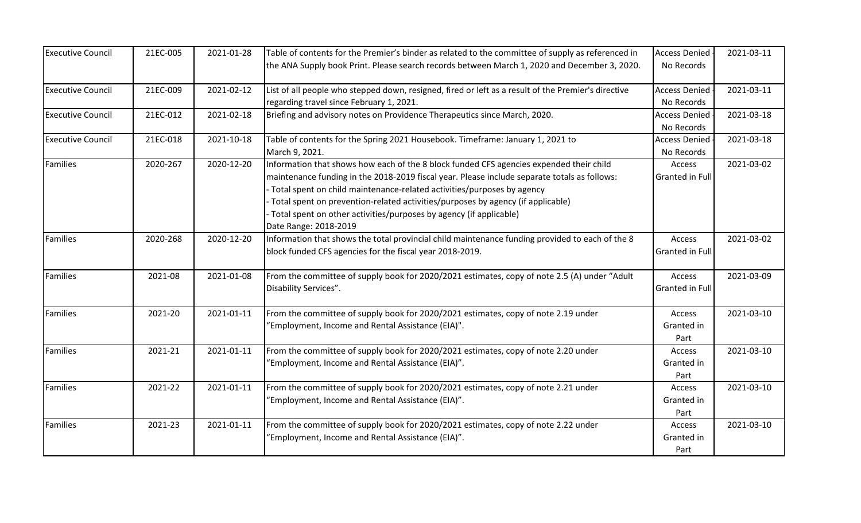| <b>Executive Council</b> | 21EC-005 | 2021-01-28 | Table of contents for the Premier's binder as related to the committee of supply as referenced in                                                                                                                                                                                                                                                                                                                                                   | <b>Access Denied</b>               | 2021-03-11 |
|--------------------------|----------|------------|-----------------------------------------------------------------------------------------------------------------------------------------------------------------------------------------------------------------------------------------------------------------------------------------------------------------------------------------------------------------------------------------------------------------------------------------------------|------------------------------------|------------|
|                          |          |            | the ANA Supply book Print. Please search records between March 1, 2020 and December 3, 2020.                                                                                                                                                                                                                                                                                                                                                        | No Records                         |            |
| <b>Executive Council</b> | 21EC-009 | 2021-02-12 | List of all people who stepped down, resigned, fired or left as a result of the Premier's directive<br>regarding travel since February 1, 2021.                                                                                                                                                                                                                                                                                                     | <b>Access Denied</b><br>No Records | 2021-03-11 |
| <b>Executive Council</b> | 21EC-012 | 2021-02-18 | Briefing and advisory notes on Providence Therapeutics since March, 2020.                                                                                                                                                                                                                                                                                                                                                                           | <b>Access Denied</b><br>No Records | 2021-03-18 |
| <b>Executive Council</b> | 21EC-018 | 2021-10-18 | Table of contents for the Spring 2021 Housebook. Timeframe: January 1, 2021 to<br>March 9, 2021.                                                                                                                                                                                                                                                                                                                                                    | <b>Access Denied</b><br>No Records | 2021-03-18 |
| <b>Families</b>          | 2020-267 | 2020-12-20 | Information that shows how each of the 8 block funded CFS agencies expended their child<br>maintenance funding in the 2018-2019 fiscal year. Please include separate totals as follows:<br>Total spent on child maintenance-related activities/purposes by agency<br>Total spent on prevention-related activities/purposes by agency (if applicable)<br>Total spent on other activities/purposes by agency (if applicable)<br>Date Range: 2018-2019 | Access<br><b>Granted in Full</b>   | 2021-03-02 |
| <b>Families</b>          | 2020-268 | 2020-12-20 | Information that shows the total provincial child maintenance funding provided to each of the 8<br>block funded CFS agencies for the fiscal year 2018-2019.                                                                                                                                                                                                                                                                                         | Access<br>Granted in Full          | 2021-03-02 |
| Families                 | 2021-08  | 2021-01-08 | From the committee of supply book for 2020/2021 estimates, copy of note 2.5 (A) under "Adult<br>Disability Services".                                                                                                                                                                                                                                                                                                                               | Access<br><b>Granted in Full</b>   | 2021-03-09 |
| Families                 | 2021-20  | 2021-01-11 | From the committee of supply book for 2020/2021 estimates, copy of note 2.19 under<br>'Employment, Income and Rental Assistance (EIA)".                                                                                                                                                                                                                                                                                                             | Access<br>Granted in<br>Part       | 2021-03-10 |
| <b>Families</b>          | 2021-21  | 2021-01-11 | From the committee of supply book for 2020/2021 estimates, copy of note 2.20 under<br>'Employment, Income and Rental Assistance (EIA)".                                                                                                                                                                                                                                                                                                             | Access<br>Granted in<br>Part       | 2021-03-10 |
| Families                 | 2021-22  | 2021-01-11 | From the committee of supply book for 2020/2021 estimates, copy of note 2.21 under<br>'Employment, Income and Rental Assistance (EIA)".                                                                                                                                                                                                                                                                                                             | Access<br>Granted in<br>Part       | 2021-03-10 |
| <b>Families</b>          | 2021-23  | 2021-01-11 | From the committee of supply book for 2020/2021 estimates, copy of note 2.22 under<br>'Employment, Income and Rental Assistance (EIA)".                                                                                                                                                                                                                                                                                                             | Access<br>Granted in<br>Part       | 2021-03-10 |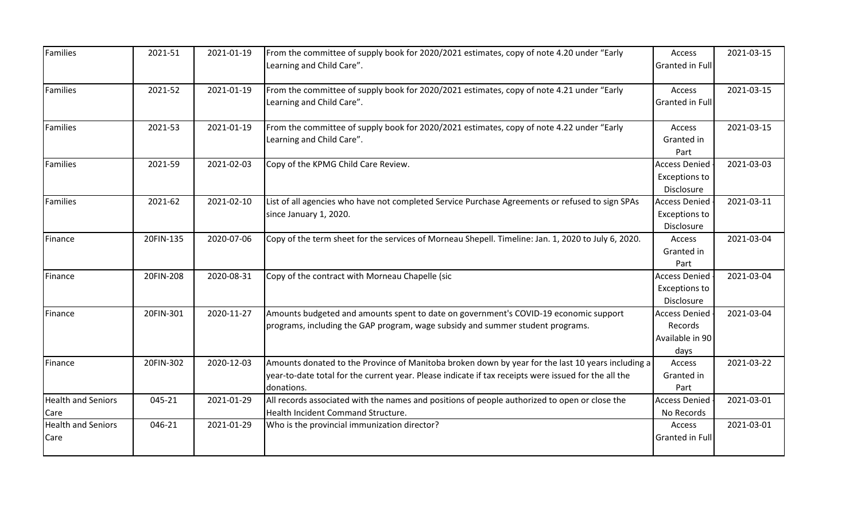| Families                          | 2021-51   | 2021-01-19 | From the committee of supply book for 2020/2021 estimates, copy of note 4.20 under "Early<br>Learning and Child Care".                                                                                                  | Access<br>Granted in Full                                  | 2021-03-15 |
|-----------------------------------|-----------|------------|-------------------------------------------------------------------------------------------------------------------------------------------------------------------------------------------------------------------------|------------------------------------------------------------|------------|
| <b>Families</b>                   | 2021-52   | 2021-01-19 | From the committee of supply book for 2020/2021 estimates, copy of note 4.21 under "Early<br>Learning and Child Care".                                                                                                  | Access<br>Granted in Full                                  | 2021-03-15 |
| <b>Families</b>                   | 2021-53   | 2021-01-19 | From the committee of supply book for 2020/2021 estimates, copy of note 4.22 under "Early<br>Learning and Child Care".                                                                                                  | Access<br>Granted in<br>Part                               | 2021-03-15 |
| <b>Families</b>                   | 2021-59   | 2021-02-03 | Copy of the KPMG Child Care Review.                                                                                                                                                                                     | <b>Access Denied</b><br><b>Exceptions to</b><br>Disclosure | 2021-03-03 |
| <b>Families</b>                   | 2021-62   | 2021-02-10 | List of all agencies who have not completed Service Purchase Agreements or refused to sign SPAs<br>since January 1, 2020.                                                                                               | <b>Access Denied</b><br><b>Exceptions to</b><br>Disclosure | 2021-03-11 |
| Finance                           | 20FIN-135 | 2020-07-06 | Copy of the term sheet for the services of Morneau Shepell. Timeline: Jan. 1, 2020 to July 6, 2020.                                                                                                                     | Access<br>Granted in<br>Part                               | 2021-03-04 |
| Finance                           | 20FIN-208 | 2020-08-31 | Copy of the contract with Morneau Chapelle (sic                                                                                                                                                                         | <b>Access Denied</b><br><b>Exceptions to</b><br>Disclosure | 2021-03-04 |
| Finance                           | 20FIN-301 | 2020-11-27 | Amounts budgeted and amounts spent to date on government's COVID-19 economic support<br>programs, including the GAP program, wage subsidy and summer student programs.                                                  | <b>Access Denied</b><br>Records<br>Available in 90<br>days | 2021-03-04 |
| Finance                           | 20FIN-302 | 2020-12-03 | Amounts donated to the Province of Manitoba broken down by year for the last 10 years including a<br>year-to-date total for the current year. Please indicate if tax receipts were issued for the all the<br>donations. | Access<br>Granted in<br>Part                               | 2021-03-22 |
| <b>Health and Seniors</b><br>Care | 045-21    | 2021-01-29 | All records associated with the names and positions of people authorized to open or close the<br>Health Incident Command Structure.                                                                                     | <b>Access Denied</b><br>No Records                         | 2021-03-01 |
| <b>Health and Seniors</b><br>Care | 046-21    | 2021-01-29 | Who is the provincial immunization director?                                                                                                                                                                            | Access<br><b>Granted in Full</b>                           | 2021-03-01 |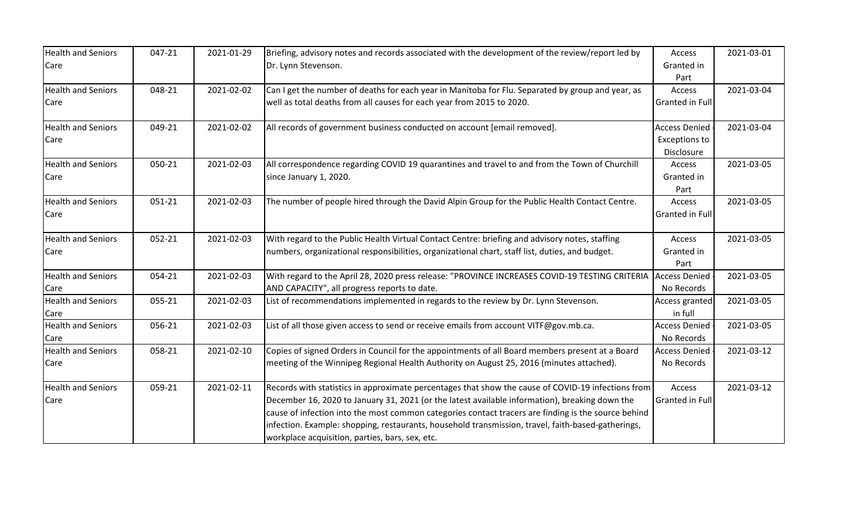| <b>Health and Seniors</b> | 047-21 | 2021-01-29 | Briefing, advisory notes and records associated with the development of the review/report led by    | Access               | 2021-03-01 |
|---------------------------|--------|------------|-----------------------------------------------------------------------------------------------------|----------------------|------------|
| Care                      |        |            | Dr. Lynn Stevenson.                                                                                 | Granted in           |            |
|                           |        |            |                                                                                                     | Part                 |            |
| <b>Health and Seniors</b> | 048-21 | 2021-02-02 | Can I get the number of deaths for each year in Manitoba for Flu. Separated by group and year, as   | Access               | 2021-03-04 |
| Care                      |        |            | well as total deaths from all causes for each year from 2015 to 2020.                               | Granted in Full      |            |
| <b>Health and Seniors</b> | 049-21 | 2021-02-02 | All records of government business conducted on account [email removed].                            | <b>Access Denied</b> | 2021-03-04 |
| Care                      |        |            |                                                                                                     | <b>Exceptions to</b> |            |
|                           |        |            |                                                                                                     | Disclosure           |            |
| <b>Health and Seniors</b> | 050-21 | 2021-02-03 | All correspondence regarding COVID 19 quarantines and travel to and from the Town of Churchill      | Access               | 2021-03-05 |
| Care                      |        |            | since January 1, 2020.                                                                              | Granted in           |            |
|                           |        |            |                                                                                                     | Part                 |            |
| <b>Health and Seniors</b> | 051-21 | 2021-02-03 | The number of people hired through the David Alpin Group for the Public Health Contact Centre.      | <b>Access</b>        | 2021-03-05 |
| Care                      |        |            |                                                                                                     | Granted in Full      |            |
|                           |        |            |                                                                                                     |                      |            |
| <b>Health and Seniors</b> | 052-21 | 2021-02-03 | With regard to the Public Health Virtual Contact Centre: briefing and advisory notes, staffing      | Access               | 2021-03-05 |
| Care                      |        |            | numbers, organizational responsibilities, organizational chart, staff list, duties, and budget.     | Granted in           |            |
|                           |        |            |                                                                                                     | Part                 |            |
| <b>Health and Seniors</b> | 054-21 | 2021-02-03 | With regard to the April 28, 2020 press release: "PROVINCE INCREASES COVID-19 TESTING CRITERIA      | <b>Access Denied</b> | 2021-03-05 |
| Care                      |        |            | AND CAPACITY", all progress reports to date.                                                        | No Records           |            |
| <b>Health and Seniors</b> | 055-21 | 2021-02-03 | List of recommendations implemented in regards to the review by Dr. Lynn Stevenson.                 | Access granted       | 2021-03-05 |
| Care                      |        |            |                                                                                                     | in full              |            |
| <b>Health and Seniors</b> | 056-21 | 2021-02-03 | List of all those given access to send or receive emails from account VITF@gov.mb.ca.               | <b>Access Denied</b> | 2021-03-05 |
| Care                      |        |            |                                                                                                     | No Records           |            |
| <b>Health and Seniors</b> | 058-21 | 2021-02-10 | Copies of signed Orders in Council for the appointments of all Board members present at a Board     | <b>Access Denied</b> | 2021-03-12 |
| Care                      |        |            | meeting of the Winnipeg Regional Health Authority on August 25, 2016 (minutes attached).            | No Records           |            |
| <b>Health and Seniors</b> | 059-21 | 2021-02-11 | Records with statistics in approximate percentages that show the cause of COVID-19 infections from  | Access               | 2021-03-12 |
| Care                      |        |            | December 16, 2020 to January 31, 2021 (or the latest available information), breaking down the      | Granted in Full      |            |
|                           |        |            | cause of infection into the most common categories contact tracers are finding is the source behind |                      |            |
|                           |        |            | infection. Example: shopping, restaurants, household transmission, travel, faith-based-gatherings,  |                      |            |
|                           |        |            | workplace acquisition, parties, bars, sex, etc.                                                     |                      |            |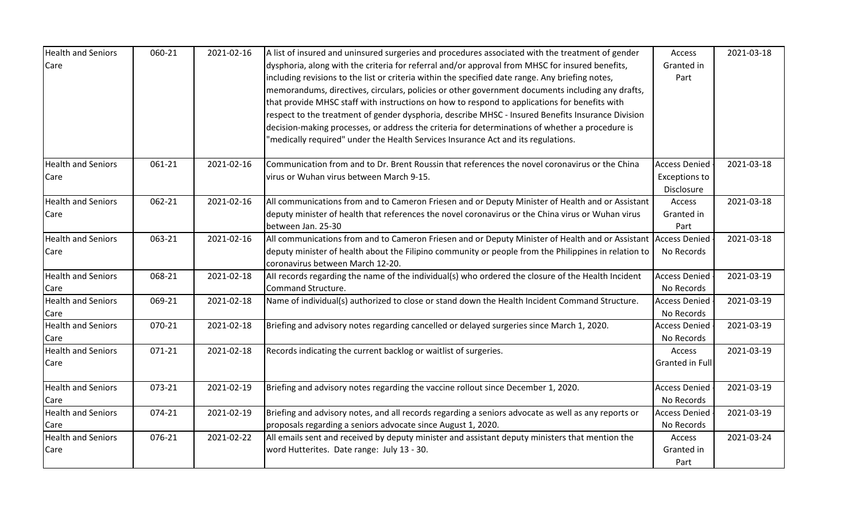| <b>Health and Seniors</b> | 060-21 | 2021-02-16 | A list of insured and uninsured surgeries and procedures associated with the treatment of gender     | Access                 | 2021-03-18 |
|---------------------------|--------|------------|------------------------------------------------------------------------------------------------------|------------------------|------------|
| Care                      |        |            | dysphoria, along with the criteria for referral and/or approval from MHSC for insured benefits,      | Granted in             |            |
|                           |        |            | including revisions to the list or criteria within the specified date range. Any briefing notes,     | Part                   |            |
|                           |        |            | memorandums, directives, circulars, policies or other government documents including any drafts,     |                        |            |
|                           |        |            | that provide MHSC staff with instructions on how to respond to applications for benefits with        |                        |            |
|                           |        |            | respect to the treatment of gender dysphoria, describe MHSC - Insured Benefits Insurance Division    |                        |            |
|                           |        |            | decision-making processes, or address the criteria for determinations of whether a procedure is      |                        |            |
|                           |        |            | "medically required" under the Health Services Insurance Act and its regulations.                    |                        |            |
| <b>Health and Seniors</b> | 061-21 | 2021-02-16 | Communication from and to Dr. Brent Roussin that references the novel coronavirus or the China       | <b>Access Denied</b>   | 2021-03-18 |
| Care                      |        |            | virus or Wuhan virus between March 9-15.                                                             | <b>Exceptions to</b>   |            |
|                           |        |            |                                                                                                      | Disclosure             |            |
| <b>Health and Seniors</b> | 062-21 | 2021-02-16 | All communications from and to Cameron Friesen and or Deputy Minister of Health and or Assistant     | Access                 | 2021-03-18 |
| Care                      |        |            | deputy minister of health that references the novel coronavirus or the China virus or Wuhan virus    | Granted in             |            |
|                           |        |            | between Jan. 25-30                                                                                   | Part                   |            |
| <b>Health and Seniors</b> | 063-21 | 2021-02-16 | All communications from and to Cameron Friesen and or Deputy Minister of Health and or Assistant     | <b>Access Denied</b>   | 2021-03-18 |
| Care                      |        |            | deputy minister of health about the Filipino community or people from the Philippines in relation to | No Records             |            |
|                           |        |            | coronavirus between March 12-20.                                                                     |                        |            |
| <b>Health and Seniors</b> | 068-21 | 2021-02-18 | All records regarding the name of the individual(s) who ordered the closure of the Health Incident   | <b>Access Denied</b>   | 2021-03-19 |
| Care                      |        |            | Command Structure.                                                                                   | No Records             |            |
| <b>Health and Seniors</b> | 069-21 | 2021-02-18 | Name of individual(s) authorized to close or stand down the Health Incident Command Structure.       | <b>Access Denied</b>   | 2021-03-19 |
| Care                      |        |            |                                                                                                      | No Records             |            |
| <b>Health and Seniors</b> | 070-21 | 2021-02-18 | Briefing and advisory notes regarding cancelled or delayed surgeries since March 1, 2020.            | <b>Access Denied</b>   | 2021-03-19 |
| Care                      |        |            |                                                                                                      | No Records             |            |
| <b>Health and Seniors</b> | 071-21 | 2021-02-18 | Records indicating the current backlog or waitlist of surgeries.                                     | Access                 | 2021-03-19 |
| Care                      |        |            |                                                                                                      | <b>Granted in Full</b> |            |
|                           |        |            |                                                                                                      |                        |            |
| <b>Health and Seniors</b> | 073-21 | 2021-02-19 | Briefing and advisory notes regarding the vaccine rollout since December 1, 2020.                    | <b>Access Denied</b>   | 2021-03-19 |
| Care                      |        |            |                                                                                                      | No Records             |            |
| <b>Health and Seniors</b> | 074-21 | 2021-02-19 | Briefing and advisory notes, and all records regarding a seniors advocate as well as any reports or  | <b>Access Denied</b>   | 2021-03-19 |
| Care                      |        |            | proposals regarding a seniors advocate since August 1, 2020.                                         | No Records             |            |
| <b>Health and Seniors</b> | 076-21 | 2021-02-22 | All emails sent and received by deputy minister and assistant deputy ministers that mention the      | Access                 | 2021-03-24 |
| Care                      |        |            | word Hutterites. Date range: July 13 - 30.                                                           | Granted in             |            |
|                           |        |            |                                                                                                      | Part                   |            |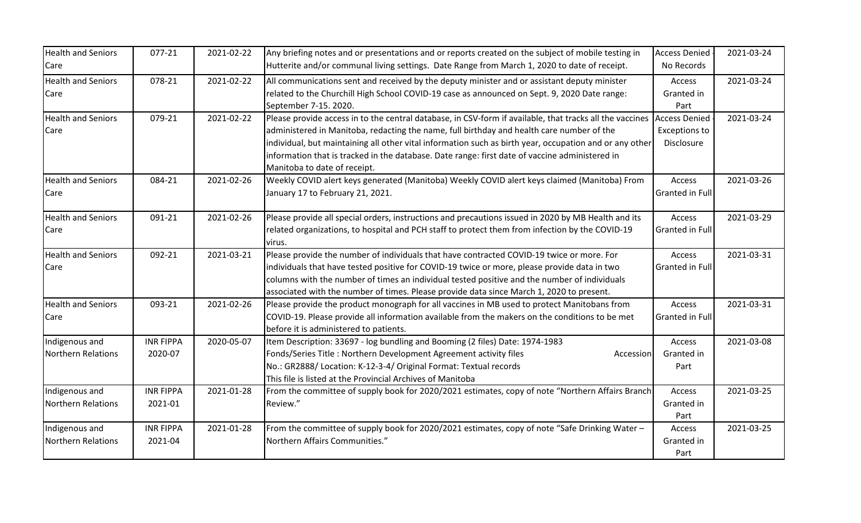| <b>Health and Seniors</b><br>Care    | 077-21                      | 2021-02-22 | Any briefing notes and or presentations and or reports created on the subject of mobile testing in<br>Hutterite and/or communal living settings. Date Range from March 1, 2020 to date of receipt.                                                                                                                                                                                                                                                 | <b>Access Denied</b><br>No Records                         | 2021-03-24 |
|--------------------------------------|-----------------------------|------------|----------------------------------------------------------------------------------------------------------------------------------------------------------------------------------------------------------------------------------------------------------------------------------------------------------------------------------------------------------------------------------------------------------------------------------------------------|------------------------------------------------------------|------------|
| <b>Health and Seniors</b><br>Care    | 078-21                      | 2021-02-22 | All communications sent and received by the deputy minister and or assistant deputy minister<br>related to the Churchill High School COVID-19 case as announced on Sept. 9, 2020 Date range:<br>September 7-15. 2020.                                                                                                                                                                                                                              | Access<br>Granted in<br>Part                               | 2021-03-24 |
| <b>Health and Seniors</b><br>Care    | 079-21                      | 2021-02-22 | Please provide access in to the central database, in CSV-form if available, that tracks all the vaccines<br>administered in Manitoba, redacting the name, full birthday and health care number of the<br>individual, but maintaining all other vital information such as birth year, occupation and or any other<br>information that is tracked in the database. Date range: first date of vaccine administered in<br>Manitoba to date of receipt. | <b>Access Denied</b><br><b>Exceptions to</b><br>Disclosure | 2021-03-24 |
| <b>Health and Seniors</b><br>Care    | 084-21                      | 2021-02-26 | Weekly COVID alert keys generated (Manitoba) Weekly COVID alert keys claimed (Manitoba) From<br>January 17 to February 21, 2021.                                                                                                                                                                                                                                                                                                                   | Access<br><b>Granted in Full</b>                           | 2021-03-26 |
| <b>Health and Seniors</b><br>Care    | 091-21                      | 2021-02-26 | Please provide all special orders, instructions and precautions issued in 2020 by MB Health and its<br>related organizations, to hospital and PCH staff to protect them from infection by the COVID-19<br>virus.                                                                                                                                                                                                                                   | Access<br><b>Granted in Full</b>                           | 2021-03-29 |
| <b>Health and Seniors</b><br>Care    | 092-21                      | 2021-03-21 | Please provide the number of individuals that have contracted COVID-19 twice or more. For<br>individuals that have tested positive for COVID-19 twice or more, please provide data in two<br>columns with the number of times an individual tested positive and the number of individuals<br>associated with the number of times. Please provide data since March 1, 2020 to present.                                                              | Access<br><b>Granted in Full</b>                           | 2021-03-31 |
| <b>Health and Seniors</b><br>Care    | 093-21                      | 2021-02-26 | Please provide the product monograph for all vaccines in MB used to protect Manitobans from<br>COVID-19. Please provide all information available from the makers on the conditions to be met<br>before it is administered to patients.                                                                                                                                                                                                            | Access<br><b>Granted in Full</b>                           | 2021-03-31 |
| Indigenous and<br>Northern Relations | <b>INR FIPPA</b><br>2020-07 | 2020-05-07 | Item Description: 33697 - log bundling and Booming (2 files) Date: 1974-1983<br>Fonds/Series Title: Northern Development Agreement activity files<br>Accession<br>No.: GR2888/ Location: K-12-3-4/ Original Format: Textual records<br>This file is listed at the Provincial Archives of Manitoba                                                                                                                                                  | Access<br>Granted in<br>Part                               | 2021-03-08 |
| Indigenous and<br>Northern Relations | <b>INR FIPPA</b><br>2021-01 | 2021-01-28 | From the committee of supply book for 2020/2021 estimates, copy of note "Northern Affairs Branch<br>Review."                                                                                                                                                                                                                                                                                                                                       | Access<br>Granted in<br>Part                               | 2021-03-25 |
| Indigenous and<br>Northern Relations | <b>INR FIPPA</b><br>2021-04 | 2021-01-28 | From the committee of supply book for 2020/2021 estimates, copy of note "Safe Drinking Water -<br>Northern Affairs Communities."                                                                                                                                                                                                                                                                                                                   | Access<br>Granted in<br>Part                               | 2021-03-25 |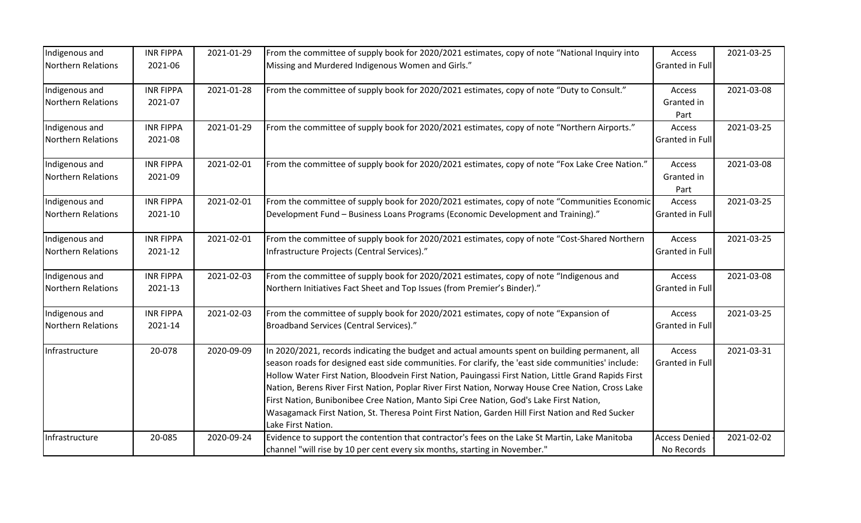| Indigenous and            | <b>INR FIPPA</b> | 2021-01-29 | From the committee of supply book for 2020/2021 estimates, copy of note "National Inquiry into        | Access               | 2021-03-25 |
|---------------------------|------------------|------------|-------------------------------------------------------------------------------------------------------|----------------------|------------|
| Northern Relations        | 2021-06          |            | Missing and Murdered Indigenous Women and Girls."                                                     | Granted in Full      |            |
| Indigenous and            | <b>INR FIPPA</b> | 2021-01-28 | From the committee of supply book for 2020/2021 estimates, copy of note "Duty to Consult."            | Access               | 2021-03-08 |
| <b>Northern Relations</b> | 2021-07          |            |                                                                                                       | Granted in           |            |
|                           |                  |            |                                                                                                       | Part                 |            |
| Indigenous and            | <b>INR FIPPA</b> | 2021-01-29 | From the committee of supply book for 2020/2021 estimates, copy of note "Northern Airports."          | Access               | 2021-03-25 |
| <b>Northern Relations</b> | 2021-08          |            |                                                                                                       | Granted in Full      |            |
| Indigenous and            | <b>INR FIPPA</b> | 2021-02-01 | From the committee of supply book for 2020/2021 estimates, copy of note "Fox Lake Cree Nation."       | Access               | 2021-03-08 |
| Northern Relations        | 2021-09          |            |                                                                                                       | Granted in           |            |
|                           |                  |            |                                                                                                       | Part                 |            |
| Indigenous and            | <b>INR FIPPA</b> | 2021-02-01 | From the committee of supply book for 2020/2021 estimates, copy of note "Communities Economic         | Access               | 2021-03-25 |
| <b>Northern Relations</b> | 2021-10          |            | Development Fund - Business Loans Programs (Economic Development and Training)."                      | Granted in Full      |            |
| Indigenous and            | <b>INR FIPPA</b> | 2021-02-01 | From the committee of supply book for 2020/2021 estimates, copy of note "Cost-Shared Northern         | Access               | 2021-03-25 |
| Northern Relations        | 2021-12          |            | Infrastructure Projects (Central Services)."                                                          | Granted in Full      |            |
| Indigenous and            | <b>INR FIPPA</b> | 2021-02-03 | From the committee of supply book for 2020/2021 estimates, copy of note "Indigenous and               | Access               | 2021-03-08 |
| Northern Relations        | 2021-13          |            | Northern Initiatives Fact Sheet and Top Issues (from Premier's Binder)."                              | Granted in Full      |            |
| Indigenous and            | <b>INR FIPPA</b> | 2021-02-03 | From the committee of supply book for 2020/2021 estimates, copy of note "Expansion of                 | Access               | 2021-03-25 |
| <b>Northern Relations</b> | 2021-14          |            | Broadband Services (Central Services)."                                                               | Granted in Full      |            |
| Infrastructure            | 20-078           | 2020-09-09 | In 2020/2021, records indicating the budget and actual amounts spent on building permanent, all       | Access               | 2021-03-31 |
|                           |                  |            | season roads for designed east side communities. For clarify, the 'east side communities' include:    | Granted in Full      |            |
|                           |                  |            | Hollow Water First Nation, Bloodvein First Nation, Pauingassi First Nation, Little Grand Rapids First |                      |            |
|                           |                  |            | Nation, Berens River First Nation, Poplar River First Nation, Norway House Cree Nation, Cross Lake    |                      |            |
|                           |                  |            | First Nation, Bunibonibee Cree Nation, Manto Sipi Cree Nation, God's Lake First Nation,               |                      |            |
|                           |                  |            | Wasagamack First Nation, St. Theresa Point First Nation, Garden Hill First Nation and Red Sucker      |                      |            |
|                           |                  |            | Lake First Nation.                                                                                    |                      |            |
| Infrastructure            | 20-085           | 2020-09-24 | Evidence to support the contention that contractor's fees on the Lake St Martin, Lake Manitoba        | <b>Access Denied</b> | 2021-02-02 |
|                           |                  |            | channel "will rise by 10 per cent every six months, starting in November."                            | No Records           |            |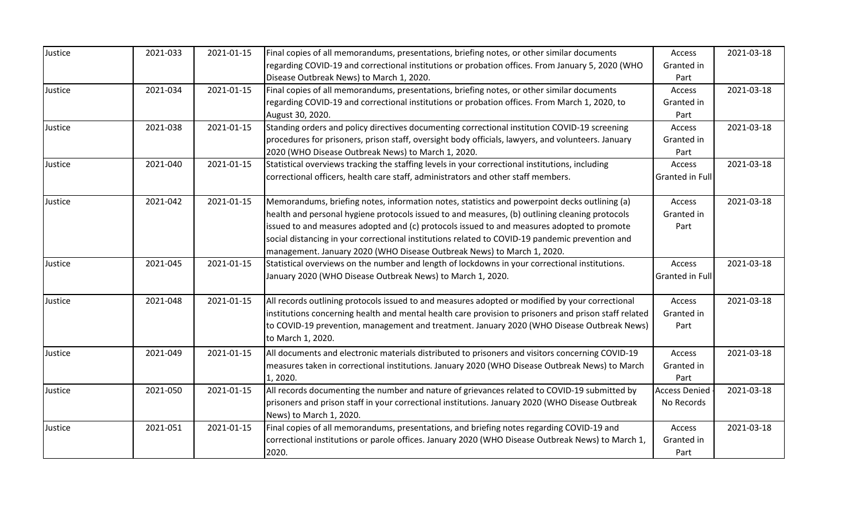| Justice | 2021-033 | 2021-01-15 | Final copies of all memorandums, presentations, briefing notes, or other similar documents            | Access               | 2021-03-18 |
|---------|----------|------------|-------------------------------------------------------------------------------------------------------|----------------------|------------|
|         |          |            | regarding COVID-19 and correctional institutions or probation offices. From January 5, 2020 (WHO      | Granted in           |            |
|         |          |            | Disease Outbreak News) to March 1, 2020.                                                              | Part                 |            |
| Justice | 2021-034 | 2021-01-15 | Final copies of all memorandums, presentations, briefing notes, or other similar documents            | Access               | 2021-03-18 |
|         |          |            | regarding COVID-19 and correctional institutions or probation offices. From March 1, 2020, to         | Granted in           |            |
|         |          |            | August 30, 2020.                                                                                      | Part                 |            |
| Justice | 2021-038 | 2021-01-15 | Standing orders and policy directives documenting correctional institution COVID-19 screening         | Access               | 2021-03-18 |
|         |          |            | procedures for prisoners, prison staff, oversight body officials, lawyers, and volunteers. January    | Granted in           |            |
|         |          |            | 2020 (WHO Disease Outbreak News) to March 1, 2020.                                                    | Part                 |            |
| Justice | 2021-040 | 2021-01-15 | Statistical overviews tracking the staffing levels in your correctional institutions, including       | Access               | 2021-03-18 |
|         |          |            | correctional officers, health care staff, administrators and other staff members.                     | Granted in Full      |            |
| Justice | 2021-042 | 2021-01-15 | Memorandums, briefing notes, information notes, statistics and powerpoint decks outlining (a)         | Access               | 2021-03-18 |
|         |          |            | health and personal hygiene protocols issued to and measures, (b) outlining cleaning protocols        | Granted in           |            |
|         |          |            | issued to and measures adopted and (c) protocols issued to and measures adopted to promote            | Part                 |            |
|         |          |            | social distancing in your correctional institutions related to COVID-19 pandemic prevention and       |                      |            |
|         |          |            | management. January 2020 (WHO Disease Outbreak News) to March 1, 2020.                                |                      |            |
| Justice | 2021-045 | 2021-01-15 | Statistical overviews on the number and length of lockdowns in your correctional institutions.        | Access               | 2021-03-18 |
|         |          |            | January 2020 (WHO Disease Outbreak News) to March 1, 2020.                                            | Granted in Full      |            |
| Justice | 2021-048 | 2021-01-15 | All records outlining protocols issued to and measures adopted or modified by your correctional       | Access               | 2021-03-18 |
|         |          |            | institutions concerning health and mental health care provision to prisoners and prison staff related | Granted in           |            |
|         |          |            | to COVID-19 prevention, management and treatment. January 2020 (WHO Disease Outbreak News)            | Part                 |            |
|         |          |            | to March 1, 2020.                                                                                     |                      |            |
| Justice | 2021-049 | 2021-01-15 | All documents and electronic materials distributed to prisoners and visitors concerning COVID-19      | Access               | 2021-03-18 |
|         |          |            | measures taken in correctional institutions. January 2020 (WHO Disease Outbreak News) to March        | Granted in           |            |
|         |          |            | 1, 2020.                                                                                              | Part                 |            |
| Justice | 2021-050 | 2021-01-15 | All records documenting the number and nature of grievances related to COVID-19 submitted by          | <b>Access Denied</b> | 2021-03-18 |
|         |          |            | prisoners and prison staff in your correctional institutions. January 2020 (WHO Disease Outbreak      | No Records           |            |
|         |          |            | News) to March 1, 2020.                                                                               |                      |            |
| Justice | 2021-051 | 2021-01-15 | Final copies of all memorandums, presentations, and briefing notes regarding COVID-19 and             | Access               | 2021-03-18 |
|         |          |            | correctional institutions or parole offices. January 2020 (WHO Disease Outbreak News) to March 1,     | Granted in           |            |
|         |          |            | 2020.                                                                                                 | Part                 |            |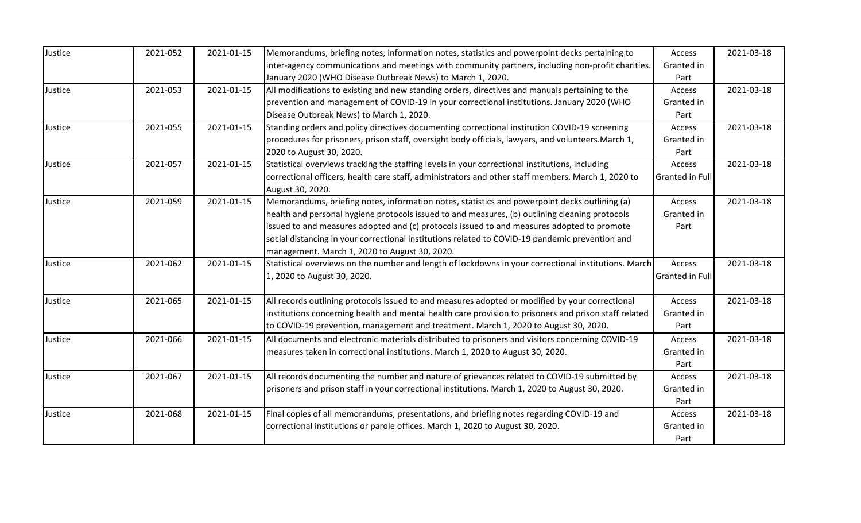| Justice | 2021-052 | 2021-01-15 | Memorandums, briefing notes, information notes, statistics and powerpoint decks pertaining to         | Access                 | 2021-03-18 |
|---------|----------|------------|-------------------------------------------------------------------------------------------------------|------------------------|------------|
|         |          |            | inter-agency communications and meetings with community partners, including non-profit charities.     | Granted in             |            |
|         |          |            | January 2020 (WHO Disease Outbreak News) to March 1, 2020.                                            | Part                   |            |
| Justice | 2021-053 | 2021-01-15 | All modifications to existing and new standing orders, directives and manuals pertaining to the       | Access                 | 2021-03-18 |
|         |          |            | prevention and management of COVID-19 in your correctional institutions. January 2020 (WHO            | Granted in             |            |
|         |          |            | Disease Outbreak News) to March 1, 2020.                                                              | Part                   |            |
| Justice | 2021-055 | 2021-01-15 | Standing orders and policy directives documenting correctional institution COVID-19 screening         | Access                 | 2021-03-18 |
|         |          |            | procedures for prisoners, prison staff, oversight body officials, lawyers, and volunteers. March 1,   | Granted in             |            |
|         |          |            | 2020 to August 30, 2020.                                                                              | Part                   |            |
| Justice | 2021-057 | 2021-01-15 | Statistical overviews tracking the staffing levels in your correctional institutions, including       | Access                 | 2021-03-18 |
|         |          |            | correctional officers, health care staff, administrators and other staff members. March 1, 2020 to    | <b>Granted in Full</b> |            |
|         |          |            | August 30, 2020.                                                                                      |                        |            |
| Justice | 2021-059 | 2021-01-15 | Memorandums, briefing notes, information notes, statistics and powerpoint decks outlining (a)         | Access                 | 2021-03-18 |
|         |          |            | health and personal hygiene protocols issued to and measures, (b) outlining cleaning protocols        | Granted in             |            |
|         |          |            | issued to and measures adopted and (c) protocols issued to and measures adopted to promote            | Part                   |            |
|         |          |            | social distancing in your correctional institutions related to COVID-19 pandemic prevention and       |                        |            |
|         |          |            | management. March 1, 2020 to August 30, 2020.                                                         |                        |            |
| Justice | 2021-062 | 2021-01-15 | Statistical overviews on the number and length of lockdowns in your correctional institutions. March  | Access                 | 2021-03-18 |
|         |          |            | 1, 2020 to August 30, 2020.                                                                           | Granted in Full        |            |
| Justice | 2021-065 | 2021-01-15 | All records outlining protocols issued to and measures adopted or modified by your correctional       | Access                 | 2021-03-18 |
|         |          |            | institutions concerning health and mental health care provision to prisoners and prison staff related | Granted in             |            |
|         |          |            | to COVID-19 prevention, management and treatment. March 1, 2020 to August 30, 2020.                   | Part                   |            |
| Justice | 2021-066 | 2021-01-15 | All documents and electronic materials distributed to prisoners and visitors concerning COVID-19      | Access                 | 2021-03-18 |
|         |          |            | measures taken in correctional institutions. March 1, 2020 to August 30, 2020.                        | Granted in             |            |
|         |          |            |                                                                                                       | Part                   |            |
| Justice | 2021-067 | 2021-01-15 | All records documenting the number and nature of grievances related to COVID-19 submitted by          | Access                 | 2021-03-18 |
|         |          |            | prisoners and prison staff in your correctional institutions. March 1, 2020 to August 30, 2020.       | Granted in             |            |
|         |          |            |                                                                                                       | Part                   |            |
| Justice | 2021-068 | 2021-01-15 | Final copies of all memorandums, presentations, and briefing notes regarding COVID-19 and             | Access                 | 2021-03-18 |
|         |          |            | correctional institutions or parole offices. March 1, 2020 to August 30, 2020.                        | Granted in             |            |
|         |          |            |                                                                                                       | Part                   |            |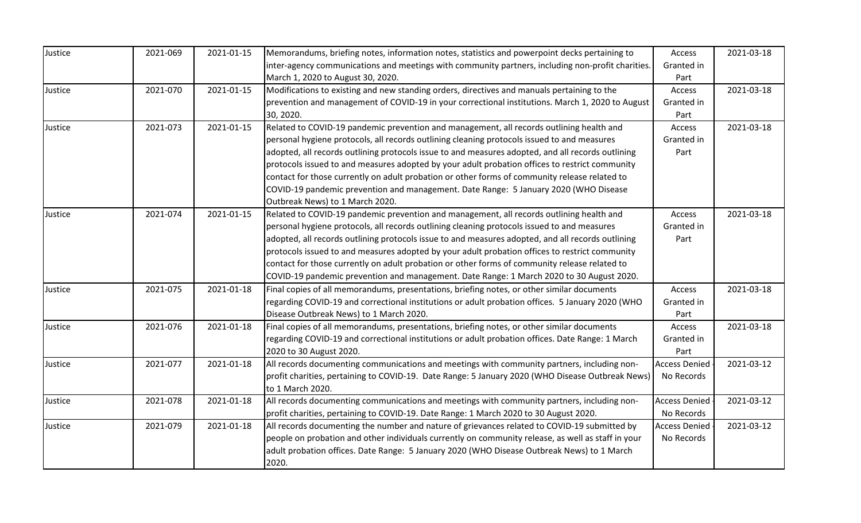| Justice | 2021-069 | 2021-01-15 | Memorandums, briefing notes, information notes, statistics and powerpoint decks pertaining to      | Access               | 2021-03-18 |
|---------|----------|------------|----------------------------------------------------------------------------------------------------|----------------------|------------|
|         |          |            | inter-agency communications and meetings with community partners, including non-profit charities.  | Granted in           |            |
|         |          |            | March 1, 2020 to August 30, 2020.                                                                  | Part                 |            |
| Justice | 2021-070 | 2021-01-15 | Modifications to existing and new standing orders, directives and manuals pertaining to the        | Access               | 2021-03-18 |
|         |          |            | prevention and management of COVID-19 in your correctional institutions. March 1, 2020 to August   | Granted in           |            |
|         |          |            | 30, 2020.                                                                                          | Part                 |            |
| Justice | 2021-073 | 2021-01-15 | Related to COVID-19 pandemic prevention and management, all records outlining health and           | Access               | 2021-03-18 |
|         |          |            | personal hygiene protocols, all records outlining cleaning protocols issued to and measures        | Granted in           |            |
|         |          |            | adopted, all records outlining protocols issue to and measures adopted, and all records outlining  | Part                 |            |
|         |          |            | protocols issued to and measures adopted by your adult probation offices to restrict community     |                      |            |
|         |          |            | contact for those currently on adult probation or other forms of community release related to      |                      |            |
|         |          |            | COVID-19 pandemic prevention and management. Date Range: 5 January 2020 (WHO Disease               |                      |            |
|         |          |            | Outbreak News) to 1 March 2020.                                                                    |                      |            |
| Justice | 2021-074 | 2021-01-15 | Related to COVID-19 pandemic prevention and management, all records outlining health and           | Access               | 2021-03-18 |
|         |          |            | personal hygiene protocols, all records outlining cleaning protocols issued to and measures        | Granted in           |            |
|         |          |            | adopted, all records outlining protocols issue to and measures adopted, and all records outlining  | Part                 |            |
|         |          |            | protocols issued to and measures adopted by your adult probation offices to restrict community     |                      |            |
|         |          |            | contact for those currently on adult probation or other forms of community release related to      |                      |            |
|         |          |            | COVID-19 pandemic prevention and management. Date Range: 1 March 2020 to 30 August 2020.           |                      |            |
| Justice | 2021-075 | 2021-01-18 | Final copies of all memorandums, presentations, briefing notes, or other similar documents         | Access               | 2021-03-18 |
|         |          |            | regarding COVID-19 and correctional institutions or adult probation offices. 5 January 2020 (WHO   | Granted in           |            |
|         |          |            | Disease Outbreak News) to 1 March 2020.                                                            | Part                 |            |
| Justice | 2021-076 | 2021-01-18 | Final copies of all memorandums, presentations, briefing notes, or other similar documents         | Access               | 2021-03-18 |
|         |          |            | regarding COVID-19 and correctional institutions or adult probation offices. Date Range: 1 March   | Granted in           |            |
|         |          |            | 2020 to 30 August 2020.                                                                            | Part                 |            |
| Justice | 2021-077 | 2021-01-18 | All records documenting communications and meetings with community partners, including non-        | <b>Access Denied</b> | 2021-03-12 |
|         |          |            | profit charities, pertaining to COVID-19. Date Range: 5 January 2020 (WHO Disease Outbreak News)   | No Records           |            |
|         |          |            | to 1 March 2020.                                                                                   |                      |            |
| Justice | 2021-078 | 2021-01-18 | All records documenting communications and meetings with community partners, including non-        | <b>Access Denied</b> | 2021-03-12 |
|         |          |            | profit charities, pertaining to COVID-19. Date Range: 1 March 2020 to 30 August 2020.              | No Records           |            |
| Justice | 2021-079 | 2021-01-18 | All records documenting the number and nature of grievances related to COVID-19 submitted by       | <b>Access Denied</b> | 2021-03-12 |
|         |          |            | people on probation and other individuals currently on community release, as well as staff in your | No Records           |            |
|         |          |            | adult probation offices. Date Range: 5 January 2020 (WHO Disease Outbreak News) to 1 March         |                      |            |
|         |          |            | 2020.                                                                                              |                      |            |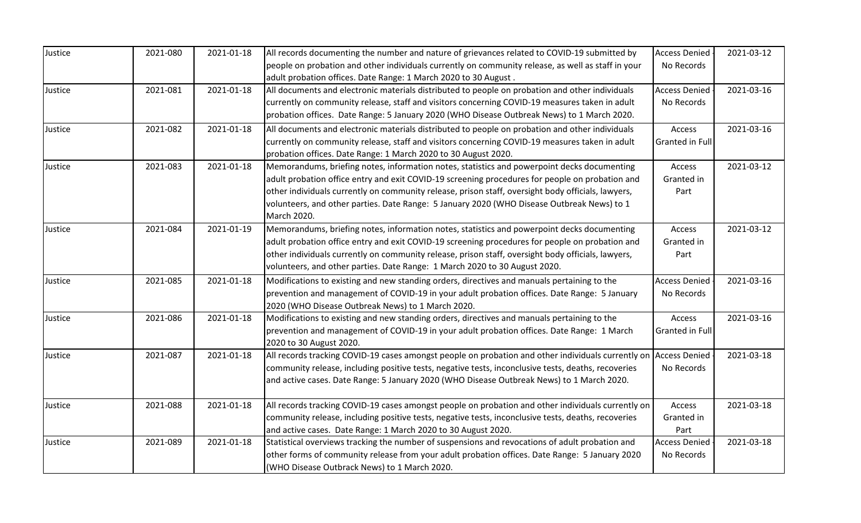| Justice | 2021-080 | 2021-01-18 | All records documenting the number and nature of grievances related to COVID-19 submitted by                     | <b>Access Denied</b> | 2021-03-12 |
|---------|----------|------------|------------------------------------------------------------------------------------------------------------------|----------------------|------------|
|         |          |            | people on probation and other individuals currently on community release, as well as staff in your               | No Records           |            |
|         |          |            | adult probation offices. Date Range: 1 March 2020 to 30 August.                                                  |                      |            |
| Justice | 2021-081 | 2021-01-18 | All documents and electronic materials distributed to people on probation and other individuals                  | <b>Access Denied</b> | 2021-03-16 |
|         |          |            | currently on community release, staff and visitors concerning COVID-19 measures taken in adult                   | No Records           |            |
|         |          |            | probation offices. Date Range: 5 January 2020 (WHO Disease Outbreak News) to 1 March 2020.                       |                      |            |
| Justice | 2021-082 | 2021-01-18 | All documents and electronic materials distributed to people on probation and other individuals                  | Access               | 2021-03-16 |
|         |          |            | currently on community release, staff and visitors concerning COVID-19 measures taken in adult                   | Granted in Full      |            |
|         |          |            | probation offices. Date Range: 1 March 2020 to 30 August 2020.                                                   |                      |            |
| Justice | 2021-083 | 2021-01-18 | Memorandums, briefing notes, information notes, statistics and powerpoint decks documenting                      | Access               | 2021-03-12 |
|         |          |            | adult probation office entry and exit COVID-19 screening procedures for people on probation and                  | Granted in           |            |
|         |          |            | other individuals currently on community release, prison staff, oversight body officials, lawyers,               | Part                 |            |
|         |          |            | volunteers, and other parties. Date Range: 5 January 2020 (WHO Disease Outbreak News) to 1                       |                      |            |
|         |          |            | March 2020.                                                                                                      |                      |            |
| Justice | 2021-084 | 2021-01-19 | Memorandums, briefing notes, information notes, statistics and powerpoint decks documenting                      | Access               | 2021-03-12 |
|         |          |            | adult probation office entry and exit COVID-19 screening procedures for people on probation and                  | Granted in           |            |
|         |          |            | other individuals currently on community release, prison staff, oversight body officials, lawyers,               | Part                 |            |
|         |          |            | volunteers, and other parties. Date Range: 1 March 2020 to 30 August 2020.                                       |                      |            |
| Justice | 2021-085 | 2021-01-18 | Modifications to existing and new standing orders, directives and manuals pertaining to the                      | <b>Access Denied</b> | 2021-03-16 |
|         |          |            | prevention and management of COVID-19 in your adult probation offices. Date Range: 5 January                     | No Records           |            |
|         |          |            | 2020 (WHO Disease Outbreak News) to 1 March 2020.                                                                |                      |            |
| Justice | 2021-086 | 2021-01-18 | Modifications to existing and new standing orders, directives and manuals pertaining to the                      | Access               | 2021-03-16 |
|         |          |            | prevention and management of COVID-19 in your adult probation offices. Date Range: 1 March                       | Granted in Full      |            |
|         |          |            | 2020 to 30 August 2020.                                                                                          |                      |            |
| Justice | 2021-087 | 2021-01-18 | All records tracking COVID-19 cases amongst people on probation and other individuals currently on Access Denied |                      | 2021-03-18 |
|         |          |            | community release, including positive tests, negative tests, inconclusive tests, deaths, recoveries              | No Records           |            |
|         |          |            | and active cases. Date Range: 5 January 2020 (WHO Disease Outbreak News) to 1 March 2020.                        |                      |            |
|         |          |            |                                                                                                                  |                      |            |
| Justice | 2021-088 | 2021-01-18 | All records tracking COVID-19 cases amongst people on probation and other individuals currently on               | Access               | 2021-03-18 |
|         |          |            | community release, including positive tests, negative tests, inconclusive tests, deaths, recoveries              | Granted in           |            |
|         |          |            | and active cases. Date Range: 1 March 2020 to 30 August 2020.                                                    | Part                 |            |
| Justice | 2021-089 | 2021-01-18 | Statistical overviews tracking the number of suspensions and revocations of adult probation and                  | <b>Access Denied</b> | 2021-03-18 |
|         |          |            | other forms of community release from your adult probation offices. Date Range: 5 January 2020                   | No Records           |            |
|         |          |            | (WHO Disease Outbrack News) to 1 March 2020.                                                                     |                      |            |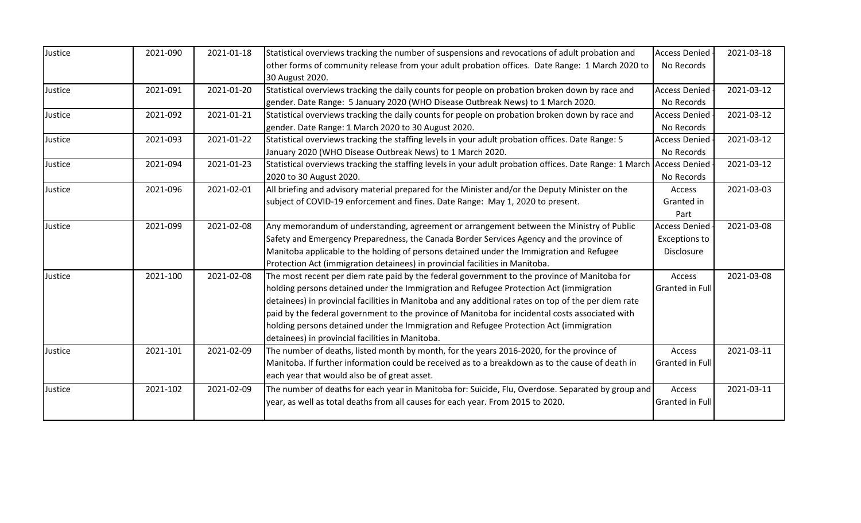| Justice | 2021-090 | 2021-01-18 | Statistical overviews tracking the number of suspensions and revocations of adult probation and                       | <b>Access Denied</b>   | 2021-03-18 |
|---------|----------|------------|-----------------------------------------------------------------------------------------------------------------------|------------------------|------------|
|         |          |            | other forms of community release from your adult probation offices. Date Range: 1 March 2020 to                       | No Records             |            |
|         |          |            | 30 August 2020.                                                                                                       |                        |            |
|         |          | 2021-01-20 |                                                                                                                       |                        | 2021-03-12 |
| Justice | 2021-091 |            | Statistical overviews tracking the daily counts for people on probation broken down by race and                       | <b>Access Denied</b>   |            |
|         |          |            | gender. Date Range: 5 January 2020 (WHO Disease Outbreak News) to 1 March 2020.                                       | No Records             |            |
| Justice | 2021-092 | 2021-01-21 | Statistical overviews tracking the daily counts for people on probation broken down by race and                       | <b>Access Denied</b>   | 2021-03-12 |
|         |          |            | gender. Date Range: 1 March 2020 to 30 August 2020.                                                                   | No Records             |            |
| Justice | 2021-093 | 2021-01-22 | Statistical overviews tracking the staffing levels in your adult probation offices. Date Range: 5                     | <b>Access Denied</b>   | 2021-03-12 |
|         |          |            | January 2020 (WHO Disease Outbreak News) to 1 March 2020.                                                             | No Records             |            |
| Justice | 2021-094 | 2021-01-23 | Statistical overviews tracking the staffing levels in your adult probation offices. Date Range: 1 March Access Denied |                        | 2021-03-12 |
|         |          |            | 2020 to 30 August 2020.                                                                                               | No Records             |            |
| Justice | 2021-096 | 2021-02-01 | All briefing and advisory material prepared for the Minister and/or the Deputy Minister on the                        | Access                 | 2021-03-03 |
|         |          |            | subject of COVID-19 enforcement and fines. Date Range: May 1, 2020 to present.                                        | Granted in             |            |
|         |          |            |                                                                                                                       | Part                   |            |
| Justice | 2021-099 | 2021-02-08 | Any memorandum of understanding, agreement or arrangement between the Ministry of Public                              | <b>Access Denied</b>   | 2021-03-08 |
|         |          |            | Safety and Emergency Preparedness, the Canada Border Services Agency and the province of                              | <b>Exceptions to</b>   |            |
|         |          |            | Manitoba applicable to the holding of persons detained under the Immigration and Refugee                              | Disclosure             |            |
|         |          |            | Protection Act (immigration detainees) in provincial facilities in Manitoba.                                          |                        |            |
| Justice | 2021-100 | 2021-02-08 | The most recent per diem rate paid by the federal government to the province of Manitoba for                          | Access                 | 2021-03-08 |
|         |          |            | holding persons detained under the Immigration and Refugee Protection Act (immigration                                | <b>Granted in Full</b> |            |
|         |          |            | detainees) in provincial facilities in Manitoba and any additional rates on top of the per diem rate                  |                        |            |
|         |          |            | paid by the federal government to the province of Manitoba for incidental costs associated with                       |                        |            |
|         |          |            | holding persons detained under the Immigration and Refugee Protection Act (immigration                                |                        |            |
|         |          |            | detainees) in provincial facilities in Manitoba.                                                                      |                        |            |
| Justice | 2021-101 | 2021-02-09 | The number of deaths, listed month by month, for the years 2016-2020, for the province of                             | Access                 | 2021-03-11 |
|         |          |            | Manitoba. If further information could be received as to a breakdown as to the cause of death in                      | <b>Granted in Full</b> |            |
|         |          |            | each year that would also be of great asset.                                                                          |                        |            |
|         |          |            |                                                                                                                       |                        |            |
| Justice | 2021-102 | 2021-02-09 | The number of deaths for each year in Manitoba for: Suicide, Flu, Overdose. Separated by group and                    | Access                 | 2021-03-11 |
|         |          |            | year, as well as total deaths from all causes for each year. From 2015 to 2020.                                       | Granted in Full        |            |
|         |          |            |                                                                                                                       |                        |            |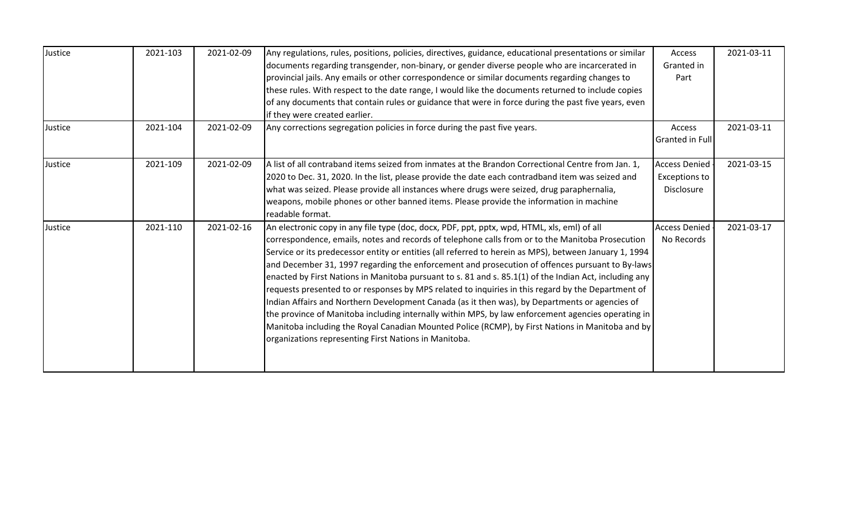| Justice | 2021-103 | 2021-02-09 | Any regulations, rules, positions, policies, directives, guidance, educational presentations or similar | Access                 | 2021-03-11 |
|---------|----------|------------|---------------------------------------------------------------------------------------------------------|------------------------|------------|
|         |          |            | documents regarding transgender, non-binary, or gender diverse people who are incarcerated in           | Granted in             |            |
|         |          |            | provincial jails. Any emails or other correspondence or similar documents regarding changes to          | Part                   |            |
|         |          |            | these rules. With respect to the date range, I would like the documents returned to include copies      |                        |            |
|         |          |            | of any documents that contain rules or guidance that were in force during the past five years, even     |                        |            |
|         |          |            | if they were created earlier.                                                                           |                        |            |
| Justice | 2021-104 | 2021-02-09 | Any corrections segregation policies in force during the past five years.                               | Access                 | 2021-03-11 |
|         |          |            |                                                                                                         | <b>Granted in Full</b> |            |
|         |          |            |                                                                                                         |                        |            |
| Justice | 2021-109 | 2021-02-09 | A list of all contraband items seized from inmates at the Brandon Correctional Centre from Jan. 1,      | <b>Access Denied</b>   | 2021-03-15 |
|         |          |            | 2020 to Dec. 31, 2020. In the list, please provide the date each contradband item was seized and        | <b>Exceptions to</b>   |            |
|         |          |            | what was seized. Please provide all instances where drugs were seized, drug paraphernalia,              | Disclosure             |            |
|         |          |            | weapons, mobile phones or other banned items. Please provide the information in machine                 |                        |            |
|         |          |            | readable format.                                                                                        |                        |            |
| Justice | 2021-110 | 2021-02-16 | An electronic copy in any file type (doc, docx, PDF, ppt, pptx, wpd, HTML, xls, eml) of all             | <b>Access Denied</b>   | 2021-03-17 |
|         |          |            | correspondence, emails, notes and records of telephone calls from or to the Manitoba Prosecution        | No Records             |            |
|         |          |            | Service or its predecessor entity or entities (all referred to herein as MPS), between January 1, 1994  |                        |            |
|         |          |            | and December 31, 1997 regarding the enforcement and prosecution of offences pursuant to By-laws         |                        |            |
|         |          |            | enacted by First Nations in Manitoba pursuant to s. 81 and s. 85.1(1) of the Indian Act, including any  |                        |            |
|         |          |            | requests presented to or responses by MPS related to inquiries in this regard by the Department of      |                        |            |
|         |          |            | Indian Affairs and Northern Development Canada (as it then was), by Departments or agencies of          |                        |            |
|         |          |            | the province of Manitoba including internally within MPS, by law enforcement agencies operating in      |                        |            |
|         |          |            | Manitoba including the Royal Canadian Mounted Police (RCMP), by First Nations in Manitoba and by        |                        |            |
|         |          |            | organizations representing First Nations in Manitoba.                                                   |                        |            |
|         |          |            |                                                                                                         |                        |            |
|         |          |            |                                                                                                         |                        |            |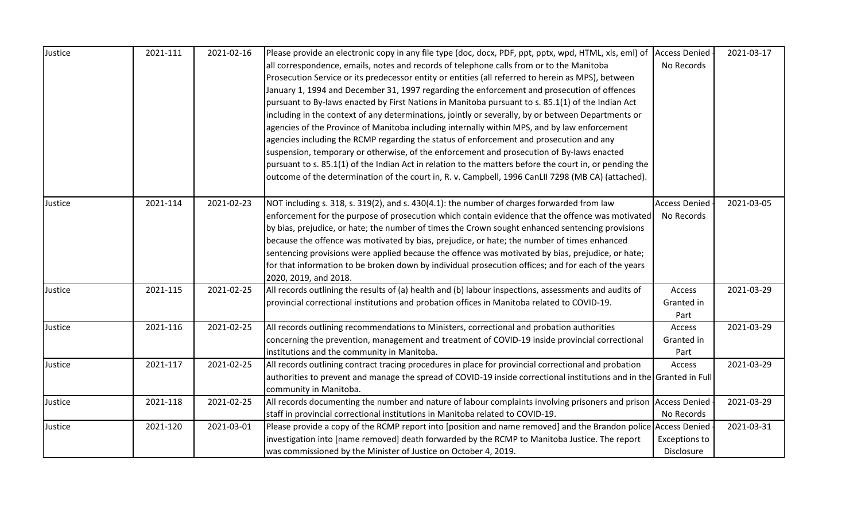| Justice | 2021-111 | 2021-02-16 | Please provide an electronic copy in any file type (doc, docx, PDF, ppt, pptx, wpd, HTML, xls, eml) of               | <b>Access Denied</b> | 2021-03-17 |
|---------|----------|------------|----------------------------------------------------------------------------------------------------------------------|----------------------|------------|
|         |          |            | all correspondence, emails, notes and records of telephone calls from or to the Manitoba                             | No Records           |            |
|         |          |            | Prosecution Service or its predecessor entity or entities (all referred to herein as MPS), between                   |                      |            |
|         |          |            | January 1, 1994 and December 31, 1997 regarding the enforcement and prosecution of offences                          |                      |            |
|         |          |            | pursuant to By-laws enacted by First Nations in Manitoba pursuant to s. 85.1(1) of the Indian Act                    |                      |            |
|         |          |            | including in the context of any determinations, jointly or severally, by or between Departments or                   |                      |            |
|         |          |            | agencies of the Province of Manitoba including internally within MPS, and by law enforcement                         |                      |            |
|         |          |            | agencies including the RCMP regarding the status of enforcement and prosecution and any                              |                      |            |
|         |          |            | suspension, temporary or otherwise, of the enforcement and prosecution of By-laws enacted                            |                      |            |
|         |          |            | pursuant to s. 85.1(1) of the Indian Act in relation to the matters before the court in, or pending the              |                      |            |
|         |          |            | outcome of the determination of the court in, R. v. Campbell, 1996 CanLII 7298 (MB CA) (attached).                   |                      |            |
|         |          |            |                                                                                                                      |                      |            |
| Justice | 2021-114 | 2021-02-23 | NOT including s. 318, s. 319(2), and s. 430(4.1): the number of charges forwarded from law                           | <b>Access Denied</b> | 2021-03-05 |
|         |          |            | enforcement for the purpose of prosecution which contain evidence that the offence was motivated                     | No Records           |            |
|         |          |            | by bias, prejudice, or hate; the number of times the Crown sought enhanced sentencing provisions                     |                      |            |
|         |          |            | because the offence was motivated by bias, prejudice, or hate; the number of times enhanced                          |                      |            |
|         |          |            | sentencing provisions were applied because the offence was motivated by bias, prejudice, or hate;                    |                      |            |
|         |          |            | for that information to be broken down by individual prosecution offices; and for each of the years                  |                      |            |
|         |          |            | 2020, 2019, and 2018.                                                                                                |                      |            |
| Justice | 2021-115 | 2021-02-25 | All records outlining the results of (a) health and (b) labour inspections, assessments and audits of                | Access               | 2021-03-29 |
|         |          |            | provincial correctional institutions and probation offices in Manitoba related to COVID-19.                          | Granted in           |            |
|         |          |            |                                                                                                                      | Part                 |            |
| Justice | 2021-116 | 2021-02-25 | All records outlining recommendations to Ministers, correctional and probation authorities                           | Access               | 2021-03-29 |
|         |          |            | concerning the prevention, management and treatment of COVID-19 inside provincial correctional                       | Granted in           |            |
|         |          |            | institutions and the community in Manitoba.                                                                          | Part                 |            |
| Justice | 2021-117 | 2021-02-25 | All records outlining contract tracing procedures in place for provincial correctional and probation                 | Access               | 2021-03-29 |
|         |          |            | authorities to prevent and manage the spread of COVID-19 inside correctional institutions and in the Granted in Full |                      |            |
|         |          |            | community in Manitoba.                                                                                               |                      |            |
| Justice | 2021-118 | 2021-02-25 | All records documenting the number and nature of labour complaints involving prisoners and prison Access Denied      |                      | 2021-03-29 |
|         |          |            | staff in provincial correctional institutions in Manitoba related to COVID-19.                                       | No Records           |            |
| Justice | 2021-120 | 2021-03-01 | Please provide a copy of the RCMP report into [position and name removed] and the Brandon police Access Denied       |                      | 2021-03-31 |
|         |          |            | investigation into [name removed] death forwarded by the RCMP to Manitoba Justice. The report                        | <b>Exceptions to</b> |            |
|         |          |            | was commissioned by the Minister of Justice on October 4, 2019.                                                      | Disclosure           |            |